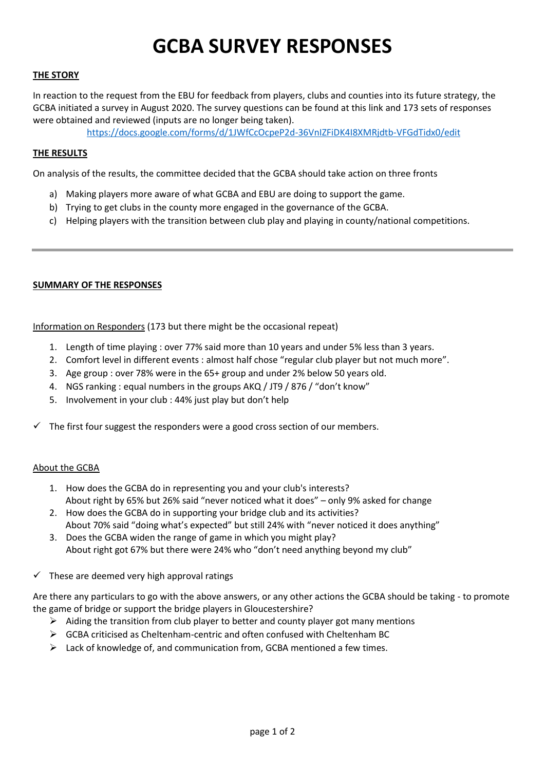# **GCBA SURVEY RESPONSES**

### **THE STORY**

In reaction to the request from the EBU for feedback from players, clubs and counties into its future strategy, the GCBA initiated a survey in August 2020. The survey questions can be found at this link and 173 sets of responses were obtained and reviewed (inputs are no longer being taken).

<https://docs.google.com/forms/d/1JWfCcOcpeP2d-36VnIZFiDK4I8XMRjdtb-VFGdTidx0/edit>

### **THE RESULTS**

On analysis of the results, the committee decided that the GCBA should take action on three fronts

- a) Making players more aware of what GCBA and EBU are doing to support the game.
- b) Trying to get clubs in the county more engaged in the governance of the GCBA.
- c) Helping players with the transition between club play and playing in county/national competitions.

#### **SUMMARY OF THE RESPONSES**

Information on Responders (173 but there might be the occasional repeat)

- 1. Length of time playing : over 77% said more than 10 years and under 5% less than 3 years.
- 2. Comfort level in different events : almost half chose "regular club player but not much more".
- 3. Age group : over 78% were in the 65+ group and under 2% below 50 years old.
- 4. NGS ranking : equal numbers in the groups AKQ / JT9 / 876 / "don't know"
- 5. Involvement in your club : 44% just play but don't help
- The first four suggest the responders were a good cross section of our members.

#### About the GCBA

- 1. How does the GCBA do in representing you and your club's interests? About right by 65% but 26% said "never noticed what it does" – only 9% asked for change
- 2. How does the GCBA do in supporting your bridge club and its activities? About 70% said "doing what's expected" but still 24% with "never noticed it does anything"
- 3. Does the GCBA widen the range of game in which you might play? About right got 67% but there were 24% who "don't need anything beyond my club"
- $\checkmark$  These are deemed very high approval ratings

Are there any particulars to go with the above answers, or any other actions the GCBA should be taking - to promote the game of bridge or support the bridge players in Gloucestershire?

- $\triangleright$  Aiding the transition from club player to better and county player got many mentions
- $\triangleright$  GCBA criticised as Cheltenham-centric and often confused with Cheltenham BC
- $\triangleright$  Lack of knowledge of, and communication from, GCBA mentioned a few times.